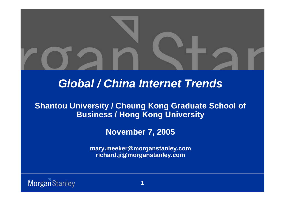

# *Global / China Internet Trends*

### **Shantou University / Cheung Kong Graduate School of Business / Hong Kong University**

### **November 7, 2005**

**mary.meeker@morganstanley.com richard.ji@morganstanley.com**

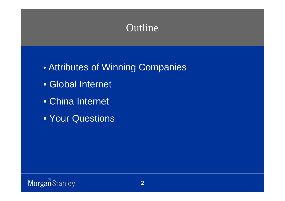# Outline

 $\bullet$ Attributes of Winning Companies

- Global Internet
- China Internet
- Your Questions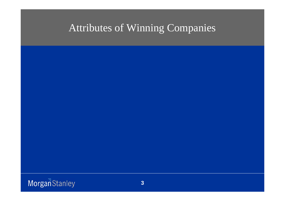# Attributes of Winning Companies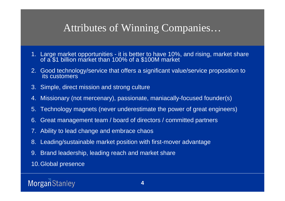# Attributes of Winning Companies…

- 1. Large market opportunities it is better to have 10%, and rising, market share of a \$1 billion market than 100% of a \$100M market
- 2. Good technology/service that offers a significant value/service proposition to its customers
- 3. Simple, direct mission and strong culture
- 4. Missionary (not mercenary), passionate, maniacally-focused founder(s)
- 5. Technology magnets (never underestimate the power of great engineers)
- 6. Great management team / board of directors / committed partners
- 7. Ability to lead change and embrace chaos
- 8. Leading/sustainable market position with first-mover advantage
- 9. Brand leadership, leading reach and market share
- 10.Global presence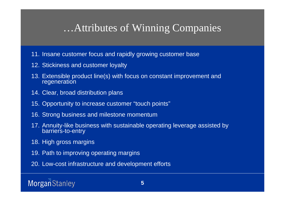# …Attributes of Winning Companies

- 11. Insane customer focus and rapidly growing customer base
- 12. Stickiness and customer loyalty
- 13. Extensible product line(s) with focus on constant improvement and regeneration
- 14. Clear, broad distribution plans
- 15. Opportunity to increase customer "touch points"
- 16. Strong business and milestone momentum
- 17. Annuity-like business with sustainable operating leverage assisted by barriers-to-entry
- 18. High gross margins
- 19. Path to improving operating margins
- 20. Low-cost infrastructure and development efforts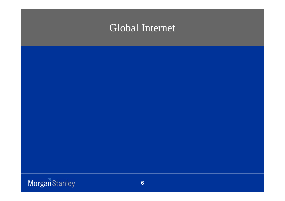# Global Internet

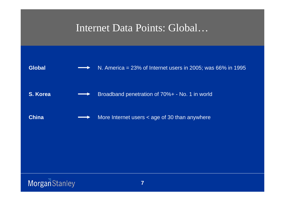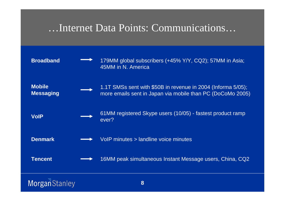# …Internet Data Points: Communications…

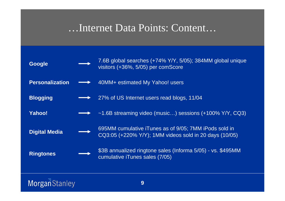# …Internet Data Points: Content…

| <b>Google</b>          | 7.6B global searches (+74% Y/Y, 5/05); 384MM global unique<br>visitors (+36%, 5/05) per comScore                |
|------------------------|-----------------------------------------------------------------------------------------------------------------|
| <b>Personalization</b> | 40MM+ estimated My Yahoo! users                                                                                 |
| <b>Blogging</b>        | 27% of US Internet users read blogs, 11/04                                                                      |
| <b>Yahoo!</b>          | $\sim$ 1.6B streaming video (music) sessions (+100% Y/Y, CQ3)                                                   |
| <b>Digital Media</b>   | 695MM cumulative iTunes as of 9/05; 7MM iPods sold in<br>CQ3:05 (+220% Y/Y); 1MM videos sold in 20 days (10/05) |
| <b>Ringtones</b>       | \$3B annualized ringtone sales (Informa 5/05) - vs. \$495MM<br>cumulative iTunes sales (7/05)                   |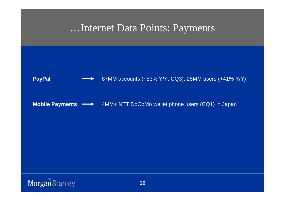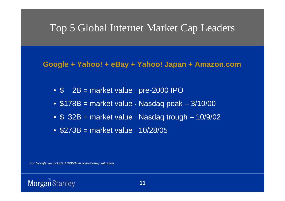# Top 5 Global Internet Market Cap Leaders

### **Google + Yahoo! + eBay + Yahoo! Japan + Amazon.com**

- \$ 2B = market value pre-2000 IPO
- \$178B = market value Nasdaq peak 3/10/00
- \$ 32B = market value Nasdaq trough 10/9/02
- \$273B = market value 10/28/05

*For Google we include \$100MM in post-money valuation*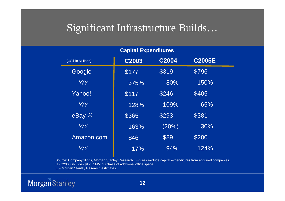# Significant Infrastructure Builds…

| (US\$ in Millions) | C2003 | C2004 | <b>C2005E</b> |  |
|--------------------|-------|-------|---------------|--|
| Google             | \$177 | \$319 | \$796         |  |
| Y/Y                | 375%  | 80%   | 150%          |  |
| Yahoo!             | \$117 | \$246 | \$405         |  |
| Y/Y                | 128%  | 109%  | 65%           |  |
| $e$ Bay $(1)$      | \$365 | \$293 | \$381         |  |
| Y/Y                | 163%  | (20%) | 30%           |  |
| Amazon.com         | \$46  | \$89  | \$200         |  |
| Y/Y                | 17%   | 94%   | 124%          |  |

**Capital Expenditures**

Source: Company filings, Morgan Stanley Research. Figures exclude capital expenditures from acquired companies. (1) C2003 includes \$125.1MM purchase of additional office space. E = Morgan Stanley Research estimates.

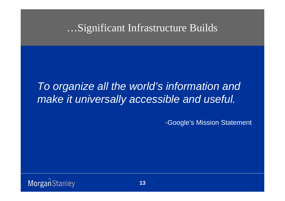…Significant Infrastructure Builds

# *To organize all the world's information and make it universally accessible and useful.*

-Google's Mission Statement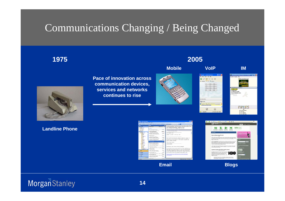# Communications Changing / Being Changed

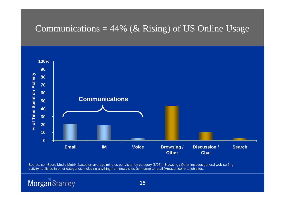### Communications =  $44\%$  (& Rising) of US Online Usage



Source: comScore Media Metrix, based on average minutes per visitor by category (8/05). Browsing / Other includes general web-surfing activity not listed in other categories, including anything from news sites (cnn.com) to retail (Amazon.com) to job sites.

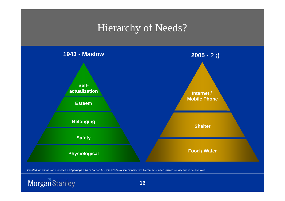# Hierarchy of Needs?



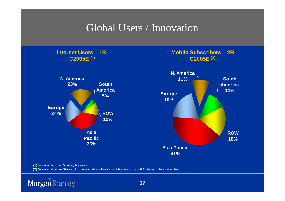# Global Users / Innovation



(2) Source: Morgan Stanley Communications Equipment Research: Scott Coleman, John Marchetti.

![](_page_16_Picture_3.jpeg)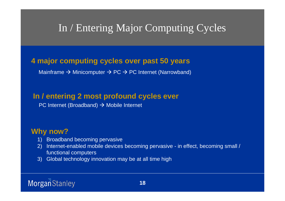# In / Entering Major Computing Cycles

### **4 major computing cycles over past 50 years**

Mainframe  $\rightarrow$  Minicomputer  $\rightarrow$  PC  $\rightarrow$  PC Internet (Narrowband)

### **In / entering 2 most profound cycles ever**

PC Internet (Broadband)  $\rightarrow$  Mobile Internet

### **Why now?**

- 1) Broadband becoming pervasive
- 2) Internet-enabled mobile devices becoming pervasive in effect, becoming small / functional computers
- 3) Global technology innovation may be at all time high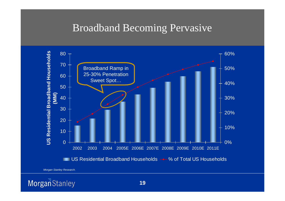## Broadband Becoming Pervasive

![](_page_18_Figure_1.jpeg)

*Morgan Stanley Research.*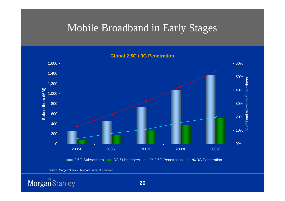# Mobile Broadband in Early Stages

![](_page_19_Figure_1.jpeg)

Source: Morgan Stanley Telecom, Internet Research.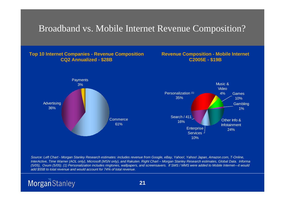### Broadband vs. Mobile Internet Revenue Composition?

### **Top 10 Internet Companies - Revenue Composition CQ2 Annualized - \$28B**

### **Revenue Composition - Mobile Internet C2005E - \$19B**

![](_page_20_Figure_3.jpeg)

*Source: Left Chart - Morgan Stanley Research estimates: includes revenue from Google, eBay, Yahoo!, Yahoo! Japan, Amazon.com, T-Online, InterActive, Time Warner (AOL only), Microsoft (MSN only), and Rakuten. Right Chart – Morgan Stanley Research estimates, Global Data. Informa (5/05), Ovum (5/05). (1) Personalization includes ringtones, wallpapers, and screensavers. If SMS / MMS were added to Mobile Internet—it would add \$55B to total revenue and would account for 74% of total revenue.*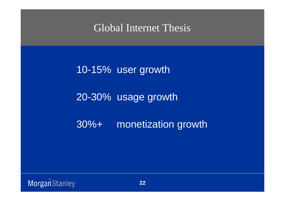Global Internet Thesis

10-15% user growth

20-30% usage growth

30%+ monetization growth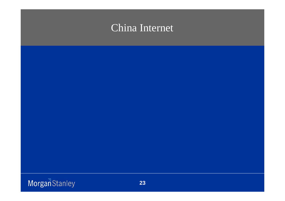# China Internet

![](_page_22_Picture_1.jpeg)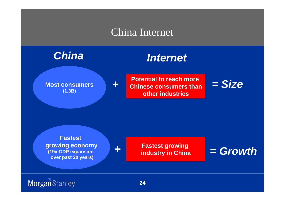# China Internet

![](_page_23_Figure_1.jpeg)

**Most consumers (1.3B)**

**Potential to reach more Chinese consumers thanother industries**

![](_page_23_Picture_5.jpeg)

**Fastest growing economy (19x GDP expansion over past 20 years)**

*+*

*+*

### **Fastest growing industry in China**

*= Growth*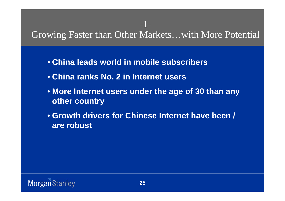# Growing Faster than Other Markets…with More Potential

-1-

- **China leads world in mobile subscribers**
- **China ranks No. 2 in Internet users**
- **More Internet users under the age of 30 than any other country**
- **Growth drivers for Chinese Internet have been / are robust**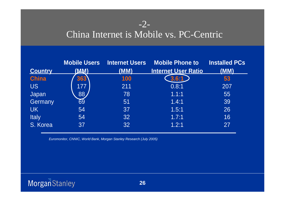## -2-

# China Internet is Mobile vs. PC-Centric

|                | <b>Mobile Users</b> | <b>Internet Users</b> | <b>Mobile Phone to</b>     | <b>Installed PCs</b> |
|----------------|---------------------|-----------------------|----------------------------|----------------------|
| <b>Country</b> | (MW)                | (MM)                  | <b>Internet User Ratio</b> | (MM)                 |
| <b>China</b>   | 363                 | 100                   | 3.6:1                      | 53                   |
| <b>US</b>      | 177                 | 211                   | 0.8:1                      | 207                  |
| Japan          | 88                  | 78                    | 1.1:1                      | 55                   |
| Germany        | 69                  | 51                    | 1.4:1                      | 39                   |
| <b>UK</b>      | 54                  | 37                    | 1.5:1                      | 26                   |
| <b>Italy</b>   | 54                  | 32                    | 1.7:1                      | 16                   |
| S. Korea       | 37                  | 32                    | 1.2:1                      | 27                   |

*Euromonitor, CNNIC, World Bank, Morgan Stanley Research (July 2005)*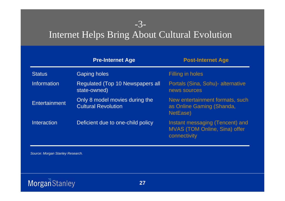# Internet Helps Bring About Cultural Evolution

-3-

|                    | <b>Pre-Internet Age</b>                                      | <b>Post-Internet Age</b>                                                                |
|--------------------|--------------------------------------------------------------|-----------------------------------------------------------------------------------------|
| <b>Status</b>      | <b>Gaping holes</b>                                          | Filling in holes                                                                        |
| Information        | <b>Regulated (Top 10 Newspapers all</b><br>state-owned)      | Portals (Sina, Sohu) - alternative<br>news sources                                      |
| Entertainment      | Only 8 model movies during the<br><b>Cultural Revolution</b> | New entertainment formats, such<br>as Online Gaming (Shanda,<br>NetEase)                |
| <b>Interaction</b> | Deficient due to one-child policy                            | Instant messaging (Tencent) and<br><b>MVAS (TOM Online, Sina) offer</b><br>connectivity |

*Source: Morgan Stanley Research.*

![](_page_26_Picture_3.jpeg)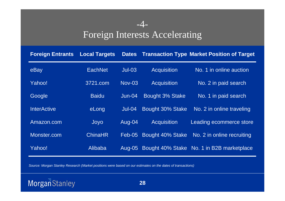## -4- Foreign Interests Accelerating

| <b>Foreign Entrants</b> | <b>Local Targets</b> | <b>Dates</b>  |                    | <b>Transaction Type Market Position of Target</b> |
|-------------------------|----------------------|---------------|--------------------|---------------------------------------------------|
| eBay                    | <b>EachNet</b>       | $Jul-03$      | <b>Acquisition</b> | No. 1 in online auction                           |
| Yahoo!                  | 3721.com             | <b>Nov-03</b> | <b>Acquisition</b> | No. 2 in paid search                              |
| Google                  | <b>Baidu</b>         | $Jun-04$      | Bought 3% Stake    | No. 1 in paid search                              |
| <b>InterActive</b>      | eLong                | $Jul-04$      | Bought 30% Stake   | No. 2 in online traveling                         |
| Amazon.com              | Joyo                 | Aug-04        | <b>Acquisition</b> | Leading ecommerce store                           |
| Monster.com             | <b>ChinaHR</b>       | $Feb-05$      | Bought 40% Stake   | No. 2 in online recruiting                        |
| Yahoo!                  | Alibaba              | Aug-05        |                    | Bought 40% Stake No. 1 in B2B marketplace         |

*Source: Morgan Stanley Research (Market positions were based on our estimates on the dates of transactions)*

![](_page_27_Picture_3.jpeg)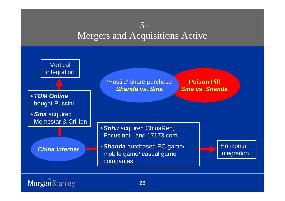### -5- Mergers and Acquisitions Active

![](_page_28_Figure_1.jpeg)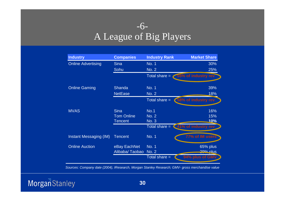## -6- A League of Big Players

| <b>Industry</b>           | <b>Companies</b>  | <b>Industry Rank</b> | <b>Market Share</b>  |
|---------------------------|-------------------|----------------------|----------------------|
| <b>Online Advertising</b> | <b>Sina</b>       | <b>No. 1</b>         | 30%                  |
|                           | Sohu              | <b>No. 2</b>         | 25%                  |
|                           |                   | Total share $=$      | 55% of industry rev  |
| <b>Online Gaming</b>      | <b>Shanda</b>     | No. 1                | 39%                  |
|                           | <b>NetEase</b>    | <b>No. 2</b>         | 18%                  |
|                           |                   | Total share $=$      | (58% of industry rev |
| <b>MVAS</b>               | <b>Sina</b>       | No.1                 | 16%                  |
|                           | <b>Tom Online</b> | <b>No. 2</b>         | 15%                  |
|                           | <b>Tencent</b>    | No. 3                | 10%                  |
|                           |                   | Total share $=$      | <41% of industry rev |
| Instant Messaging (IM)    | <b>Tencent</b>    | <b>No. 1</b>         | 77% of IM users      |
| <b>Online Auction</b>     | eBay EachNet      | <b>No. 1</b>         | 65% plus             |
|                           | Alibaba/Taobao    | <b>No. 2</b>         | 200% plus            |
|                           |                   | Total share =        | 94% plus of GMV      |

*Sources: Company date (2004), IResearch, Morgan Stanley Research; GMV- gross merchandise value*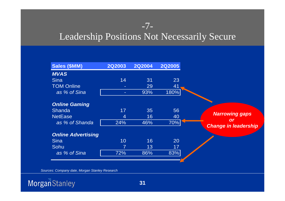## -7-Leadership Positions Not Necessarily Secure

| <b>Sales (\$MM)</b>       | <b>2Q2003</b> | <b>2Q2004</b> | <b>2Q2005</b> |                                   |
|---------------------------|---------------|---------------|---------------|-----------------------------------|
| <b>MVAS</b>               |               |               |               |                                   |
| <b>Sina</b>               | 14            | 31            | 23            |                                   |
| <b>TOM Online</b>         |               | 29            | 41            |                                   |
| as % of Sina              | н             | 93%           | 180%          |                                   |
| <b>Online Gaming</b>      |               |               |               |                                   |
| <b>Shanda</b>             | 17            | 35            | 56            |                                   |
| <b>NetEase</b>            | 4             | 16            | 40            | <b>Narrowing gaps</b>             |
| as % of Shanda            | 24%           | 46%           | 70%           | or<br><b>Change in leadership</b> |
| <b>Online Advertising</b> |               |               |               |                                   |
| <b>Sina</b>               | 10            | 16            | 20            |                                   |
| Sohu                      | 7             | 13            | 17            |                                   |
| as % of Sina              | 72%           | 86%           | 83%           |                                   |
|                           |               |               |               |                                   |
|                           |               |               |               |                                   |

*Sources: Company date, Morgan Stanley Research* 

![](_page_30_Picture_3.jpeg)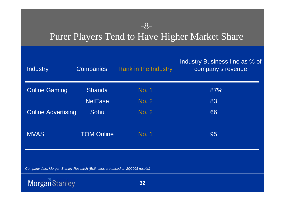## -8- Purer Players Tend to Have Higher Market Share

| <b>Industry</b>           | <b>Companies</b>  | Rank in the Industry | Industry Business-line as % of<br>company's revenue |
|---------------------------|-------------------|----------------------|-----------------------------------------------------|
| <b>Online Gaming</b>      | <b>Shanda</b>     | No. 1                | 87%                                                 |
|                           | <b>NetEase</b>    | No. 2                | 83                                                  |
| <b>Online Advertising</b> | Sohu              | No. 2                | 66                                                  |
| <b>MVAS</b>               | <b>TOM Online</b> | No. 1                | 95                                                  |

*Company date, Morgan Stanley Research (Estimates are based on 2Q2005 results)*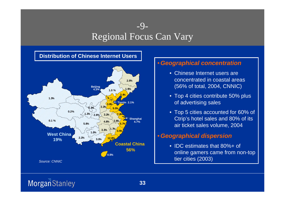### $-9-$ Regional Focus Can Vary

### **Distribution of Chinese Internet Users**

![](_page_32_Figure_2.jpeg)

### •*Geographical concentration*

- Chinese Internet users are concentrated in coastal areas (56% of total, 2004, CNNIC)
- Top 4 cities contribute 50% plus of advertising sales
- Top 5 cities accounted for 60% of Ctrip's hotel sales and 80% of its air ticket sales volume, 2004

### •*Geographical dispersion*

• IDC estimates that 80%+ of online gamers came from non-top tier cities (2003)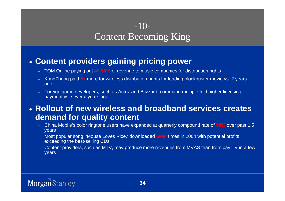## $-10-$ Content Becoming King

### • **Content providers gaining pricing power**

- TOM Online paying out **40-50%** of revenue to music companies for distribution rights
- KongZhong paid **5x** more for wireless distribution rights for leading blockbuster movie vs. 2 years ago
- Foreign game developers, such as Actoz and Blizzard, command multiple fold higher licensing payment vs. several years ago

### • **Rollout of new wireless and broadband services creates demand for quality content**

- China Mobile's color ringtone users have expanded at quarterly compound rate of **90%** over past 1.5 years
- Most popular song, 'Mouse Loves Rice,' downloaded **5MM** times in 2004 with potential profits exceeding the best-selling CDs
- Content providers, such as MTV, may produce more revenues from MVAS than from pay TV in a few years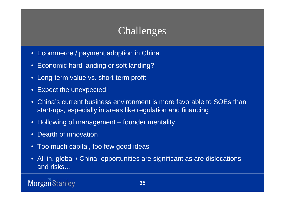# Challenges

- Ecommerce / payment adoption in China
- $\bullet$ Economic hard landing or soft landing?
- Long-term value vs. short-term profit
- $\bullet$ Expect the unexpected!
- $\bullet$  China's current business environment is more favorable to SOEs than start-ups, especially in areas like regulation and financing
- Hollowing of management founder mentality
- $\bullet$ Dearth of innovation
- Too much capital, too few good ideas
- $\bullet$  All in, global / China, opportunities are significant as are dislocations and risks…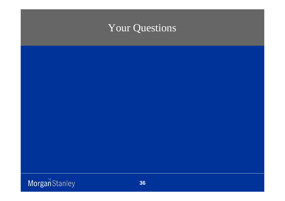# Your Questions

![](_page_35_Picture_1.jpeg)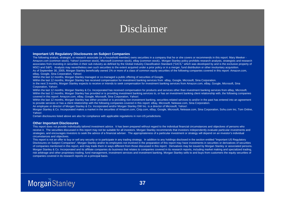# Disclaimer

### **Important US Regulatory Disclosures on Subject Companies**

The following analyst, strategist, or research associate (or a household member) owns securities in a company that he or she covers or recommends in this report: Mary Meeker - Amazon.com (common stock), Yahoo! (common stock), Microsoft (common stock), eBay (common stock);. Morgan Stanley policy prohibits research analysts, strategists and research associates from investing in securities in their sub industry as defined by the Global Industry Classification Standard ("GICS," which was developed by and is the exclusive property of MSCI and S&P). Analysts may nevertheless own such securities to the extent acquired under a prior policy or in a merger, fund distribution or other involuntary acquisition. As of September 30, 2005, Morgan Stanley beneficially owned 1% or more of a class of common equity securities of the following companies covered in this report: Amazon.com, eBay, Google, Sina Corporation, Yahoo!.

Within the last 12 months, Morgan Stanley managed or co-managed a public offering of securities of Google.

Within the last 12 months, Morgan Stanley has received compensation for investment banking services from eBay, Google, Microsoft, Sina Corporation.

In the next 3 months, Morgan Stanley expects to receive or intends to seek compensation for investment banking services from Amazon.com, eBay, Google, Microsoft, Sina Corporation, Yahoo!.

Within the last 12 months, Morgan Stanley & Co. Incorporated has received compensation for products and services other than investment banking services from eBay, Microsoft. Within the last 12 months, Morgan Stanley has provided or is providing investment banking services to, or has an investment banking client relationship with, the following companies covered in this report: Amazon.com, eBay, Google, Microsoft, Sina Corporation, Yahoo!.

Within the last 12 months, Morgan Stanley has either provided or is providing non-investment banking, securities-related services to and/or in the past has entered into an agreement to provide services or has a client relationship with the following companies covered in this report: eBay, Microsoft, Netease.com, Sina Corporation.

An employee or director of Morgan Stanley & Co. Incorporated and/or Morgan Stanley DW Inc. is a director of Microsoft, Yahoo!.

Morgan Stanley & Co. Incorporated makes a market in the securities of Amazon.com, Ctrip.com, eBay, Google, Microsoft, Netease.com, Sina Corporation, Sohu.com Inc, Tom Online, Yahoo!.

Certain disclosures listed above are also for compliance with applicable regulations in non-US jurisdictions.

### **Other Important Disclosures**

This report does not provide individually tailored investment advice. It has been prepared without regard to the individual financial circumstances and objectives of persons who receive it. The securities discussed in this report may not be suitable for all investors. Morgan Stanley recommends that investors independently evaluate particular investments and strategies, and encourages investors to seek the advice of a financial adviser. The appropriateness of a particular investment or strategy will depend on an investor's individual circumstances and objectives.

This report is not an offer to buy or sell any security or to participate in any trading strategy. In addition to any holdings disclosed in the section entitled "Important US Regulatory Disclosures on Subject Companies", Morgan Stanley and/or its employees not involved in the preparation of this report may have investments in securities or derivatives of securities of companies mentioned in this report, and may trade them in ways different from those discussed in this report. Derivatives may be issued by Morgan Stanley or associated persons. Morgan Stanley & Co. Incorporated and its affiliate companies do business that relates to companies covered in its research reports, including market making and specialized trading, risk arbitrage and other proprietary trading, fund management, investment services and investment banking. Morgan Stanley sells to and buys from customers the equity securities of companies covered in its research reports on a principal basis.